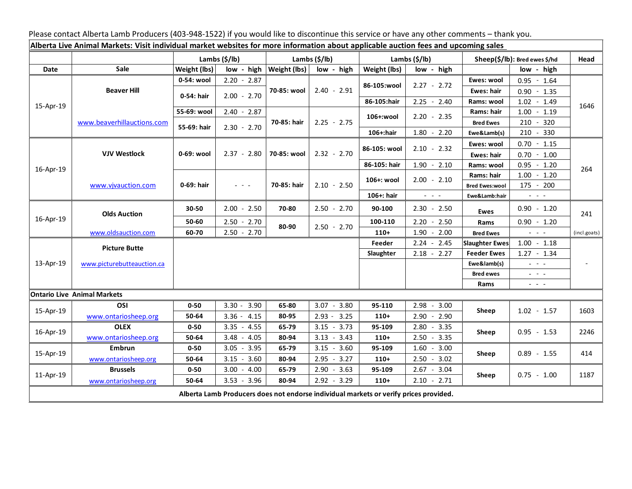Please contact Alberta Lamb Producers (403-948-1522) if you would like to discontinue this service or have any other comments – thank you.

| Alberta Live Animal Markets: Visit individual market websites for more information about applicable auction fees and upcoming sales |                                    |                           |                                                                                   |                           |                 |                           |                                                                                   |                               |                                                                                                                                                                                                                                                                                                                                                                                                                                                |              |
|-------------------------------------------------------------------------------------------------------------------------------------|------------------------------------|---------------------------|-----------------------------------------------------------------------------------|---------------------------|-----------------|---------------------------|-----------------------------------------------------------------------------------|-------------------------------|------------------------------------------------------------------------------------------------------------------------------------------------------------------------------------------------------------------------------------------------------------------------------------------------------------------------------------------------------------------------------------------------------------------------------------------------|--------------|
|                                                                                                                                     |                                    | Lambs $(\frac{2}{3})$ lb) |                                                                                   | Lambs $(\frac{2}{3})$ lb) |                 | Lambs $(\frac{2}{3})$ lb) |                                                                                   | Sheep(\$/lb): Bred ewes \$/hd |                                                                                                                                                                                                                                                                                                                                                                                                                                                | Head         |
| Date                                                                                                                                | Sale                               | Weight (lbs)              | low - high                                                                        | Weight (lbs)              | low - high      | Weight (lbs)              | low - high                                                                        |                               | low - high                                                                                                                                                                                                                                                                                                                                                                                                                                     |              |
| 15-Apr-19                                                                                                                           | <b>Beaver Hill</b>                 | 0-54: wool                | $2.20 - 2.87$                                                                     | 70-85: wool               | $2.40 - 2.91$   | 86-105:wool               | $2.27 - 2.72$                                                                     | Ewes: wool                    | $0.95 - 1.64$                                                                                                                                                                                                                                                                                                                                                                                                                                  |              |
|                                                                                                                                     |                                    | 0-54: hair                | $2.00 - 2.70$                                                                     |                           |                 |                           |                                                                                   | <b>Ewes: hair</b>             | $0.90 - 1.35$                                                                                                                                                                                                                                                                                                                                                                                                                                  |              |
|                                                                                                                                     |                                    |                           |                                                                                   |                           |                 | 86-105:hair               | $2.25 - 2.40$                                                                     | Rams: wool                    | $1.02 - 1.49$                                                                                                                                                                                                                                                                                                                                                                                                                                  | 1646         |
|                                                                                                                                     | www.beaverhillauctions.com         | 55-69: wool               | $2.40 - 2.87$                                                                     | 70-85: hair               | $2.25 - 2.75$   | 106+:wool                 | $2.20 - 2.35$                                                                     | Rams: hair                    | $1.00 - 1.19$                                                                                                                                                                                                                                                                                                                                                                                                                                  |              |
|                                                                                                                                     |                                    | 55-69: hair               | $2.30 - 2.70$                                                                     |                           |                 |                           |                                                                                   | <b>Bred Ewes</b>              | 210<br>320                                                                                                                                                                                                                                                                                                                                                                                                                                     |              |
|                                                                                                                                     |                                    |                           |                                                                                   |                           |                 | 106+:hair                 | $1.80 - 2.20$                                                                     | Ewe&Lamb(s)                   | 210 - 330                                                                                                                                                                                                                                                                                                                                                                                                                                      |              |
| 16-Apr-19                                                                                                                           | <b>VJV Westlock</b>                | 0-69: wool                | $2.37 - 2.80$                                                                     | 70-85: wool               | $2.32 - 2.70$   | 86-105: wool              | $2.10 - 2.32$                                                                     | Ewes: wool                    | 0.70<br>$-1.15$                                                                                                                                                                                                                                                                                                                                                                                                                                |              |
|                                                                                                                                     |                                    |                           |                                                                                   |                           |                 |                           |                                                                                   | <b>Ewes: hair</b>             | $0.70 - 1.00$                                                                                                                                                                                                                                                                                                                                                                                                                                  |              |
|                                                                                                                                     |                                    |                           |                                                                                   |                           |                 | 86-105: hair              | $1.90 - 2.10$                                                                     | Rams: wool                    | $0.95 - 1.20$                                                                                                                                                                                                                                                                                                                                                                                                                                  | 264          |
|                                                                                                                                     | www.vivauction.com                 | 0-69: hair                | $\frac{1}{2} \left( \frac{1}{2} \right) = \frac{1}{2} \left( \frac{1}{2} \right)$ | 70-85: hair               | $2.10 - 2.50$   | 106+: wool                | $2.00 - 2.10$                                                                     | Rams: hair                    | 1.00<br>$-1.20$                                                                                                                                                                                                                                                                                                                                                                                                                                |              |
|                                                                                                                                     |                                    |                           |                                                                                   |                           |                 |                           |                                                                                   | <b>Bred Ewes:wool</b>         | 175 - 200                                                                                                                                                                                                                                                                                                                                                                                                                                      |              |
|                                                                                                                                     |                                    |                           |                                                                                   |                           |                 | 106+: hair                | $\frac{1}{2} \left( \frac{1}{2} \right) = \frac{1}{2} \left( \frac{1}{2} \right)$ | Ewe&Lamb:hair                 | $\frac{1}{2} \left( \frac{1}{2} \right) \left( \frac{1}{2} \right) \left( \frac{1}{2} \right) \left( \frac{1}{2} \right)$                                                                                                                                                                                                                                                                                                                      |              |
| 16-Apr-19                                                                                                                           | <b>Olds Auction</b>                | 30-50                     | $2.00 - 2.50$                                                                     | 70-80                     | $2.50 - 2.70$   | 90-100                    | $2.30 - 2.50$                                                                     | Ewes                          | $0.90 - 1.20$                                                                                                                                                                                                                                                                                                                                                                                                                                  | 241          |
|                                                                                                                                     |                                    | 50-60                     | $2.50 - 2.70$                                                                     | 80-90                     | $2.50 - 2.70$   | 100-110                   | $2.20 - 2.50$                                                                     | Rams                          | $0.90 - 1.20$                                                                                                                                                                                                                                                                                                                                                                                                                                  |              |
|                                                                                                                                     | www.oldsauction.com                | 60-70                     | $2.50 - 2.70$                                                                     |                           |                 | $110+$                    | $1.90 - 2.00$                                                                     | <b>Bred Ewes</b>              | $\frac{1}{2} \left( \frac{1}{2} \right) \left( \frac{1}{2} \right) \left( \frac{1}{2} \right) \left( \frac{1}{2} \right)$                                                                                                                                                                                                                                                                                                                      | (incl.goats) |
| 13-Apr-19                                                                                                                           | <b>Picture Butte</b>               |                           |                                                                                   |                           |                 |                           | $2.24 - 2.45$                                                                     | <b>Slaughter Ewes</b>         | $1.00 - 1.18$                                                                                                                                                                                                                                                                                                                                                                                                                                  |              |
|                                                                                                                                     | www.picturebutteauction.ca         |                           |                                                                                   |                           |                 | Slaughter                 | $2.18 - 2.27$                                                                     | <b>Feeder Ewes</b>            | $1.27 - 1.34$                                                                                                                                                                                                                                                                                                                                                                                                                                  |              |
|                                                                                                                                     |                                    |                           |                                                                                   |                           |                 |                           |                                                                                   | Ewe&lamb(s)                   |                                                                                                                                                                                                                                                                                                                                                                                                                                                |              |
|                                                                                                                                     |                                    |                           |                                                                                   |                           |                 |                           |                                                                                   | <b>Bred ewes</b>              | $\frac{1}{2} \left( \frac{1}{2} \right) \frac{1}{2} \left( \frac{1}{2} \right) \frac{1}{2} \left( \frac{1}{2} \right) \frac{1}{2} \left( \frac{1}{2} \right) \frac{1}{2} \left( \frac{1}{2} \right) \frac{1}{2} \left( \frac{1}{2} \right) \frac{1}{2} \left( \frac{1}{2} \right) \frac{1}{2} \left( \frac{1}{2} \right) \frac{1}{2} \left( \frac{1}{2} \right) \frac{1}{2} \left( \frac{1}{2} \right) \frac{1}{2} \left( \frac{1}{2} \right)$ |              |
|                                                                                                                                     |                                    |                           |                                                                                   |                           |                 |                           |                                                                                   | Rams                          | $\frac{1}{2} \left( \frac{1}{2} \right) \left( \frac{1}{2} \right) \left( \frac{1}{2} \right) \left( \frac{1}{2} \right)$                                                                                                                                                                                                                                                                                                                      |              |
|                                                                                                                                     | <b>Ontario Live Animal Markets</b> |                           |                                                                                   |                           |                 |                           |                                                                                   |                               |                                                                                                                                                                                                                                                                                                                                                                                                                                                |              |
| 15-Apr-19                                                                                                                           | OSI                                | $0 - 50$                  | $3.30 - 3.90$                                                                     | 65-80                     | 3.07<br>$-3.80$ | 95-110                    | 2.98<br>$-3.00$                                                                   | Sheep                         | $1.02 - 1.57$                                                                                                                                                                                                                                                                                                                                                                                                                                  | 1603         |
|                                                                                                                                     | www.ontariosheep.org               | 50-64                     | $3.36 - 4.15$                                                                     | 80-95                     | $2.93 - 3.25$   | $110+$                    | $2.90 - 2.90$                                                                     |                               |                                                                                                                                                                                                                                                                                                                                                                                                                                                |              |
| 16-Apr-19                                                                                                                           | <b>OLEX</b>                        | $0 - 50$                  | $3.35 - 4.55$                                                                     | 65-79                     | $3.15 - 3.73$   | 95-109                    | $2.80 - 3.35$                                                                     | Sheep                         | $0.95 - 1.53$                                                                                                                                                                                                                                                                                                                                                                                                                                  | 2246         |
|                                                                                                                                     | www.ontariosheep.org               | 50-64                     | $3.48 - 4.05$                                                                     | 80-94                     | $3.13 - 3.43$   | $110+$                    | $2.50 - 3.35$                                                                     |                               |                                                                                                                                                                                                                                                                                                                                                                                                                                                |              |
| 15-Apr-19                                                                                                                           | Embrun                             | $0 - 50$                  | $3.05 - 3.95$                                                                     | 65-79                     | $3.15 - 3.60$   | 95-109                    | $1.60 - 3.00$                                                                     | Sheep                         | $0.89 - 1.55$                                                                                                                                                                                                                                                                                                                                                                                                                                  | 414          |
|                                                                                                                                     | www.ontariosheep.org               | 50-64                     | $3.15 - 3.60$                                                                     | 80-94                     | $2.95 - 3.27$   | $110+$                    | $2.50 - 3.02$                                                                     |                               |                                                                                                                                                                                                                                                                                                                                                                                                                                                |              |
| 11-Apr-19                                                                                                                           | <b>Brussels</b>                    | $0 - 50$                  | $3.00 - 4.00$                                                                     | 65-79                     | $2.90 - 3.63$   | 95-109                    | $2.67 - 3.04$                                                                     | Sheep                         | $0.75 - 1.00$                                                                                                                                                                                                                                                                                                                                                                                                                                  | 1187         |
|                                                                                                                                     | www.ontariosheep.org               | 50-64                     | $3.53 - 3.96$                                                                     | 80-94                     | $2.92 - 3.29$   | $110+$                    | $2.10 - 2.71$                                                                     |                               |                                                                                                                                                                                                                                                                                                                                                                                                                                                |              |
| Alberta Lamb Producers does not endorse individual markets or verify prices provided.                                               |                                    |                           |                                                                                   |                           |                 |                           |                                                                                   |                               |                                                                                                                                                                                                                                                                                                                                                                                                                                                |              |